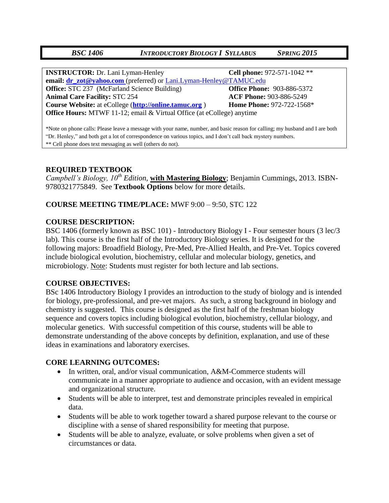# *BSC 1406 INTRODUCTORY BIOLOGY I SYLLABUS SPRING 2015*

| <b>INSTRUCTOR:</b> Dr. Lani Lyman-Henley                               | Cell phone: 972-571-1042 **       |  |  |  |  |
|------------------------------------------------------------------------|-----------------------------------|--|--|--|--|
| email: dr_zot@yahoo.com (preferred) or Lani.Lyman-Henley@TAMUC.edu     |                                   |  |  |  |  |
| <b>Office:</b> STC 237 (McFarland Science Building)                    | <b>Office Phone: 903-886-5372</b> |  |  |  |  |
| <b>Animal Care Facility: STC 254</b>                                   | <b>ACF Phone: 903-886-5249</b>    |  |  |  |  |
| Course Website: at eCollege (http://online.tamuc.org)                  | <b>Home Phone: 972-722-1568*</b>  |  |  |  |  |
| Office Hours: MTWF 11-12; email & Virtual Office (at eCollege) anytime |                                   |  |  |  |  |
|                                                                        |                                   |  |  |  |  |

\*Note on phone calls: Please leave a message with your name, number, and basic reason for calling; my husband and I are both "Dr. Henley," and both get a lot of correspondence on various topics, and I don't call back mystery numbers. \*\* Cell phone does text messaging as well (others do not).

# **REQUIRED TEXTBOOK**

*Campbell's Biology, 10th Edition,* **with Mastering Biology**; Benjamin Cummings, 2013. ISBN-9780321775849. See **Textbook Options** below for more details.

### **COURSE MEETING TIME/PLACE:** MWF 9:00 – 9:50, STC 122

#### **COURSE DESCRIPTION:**

BSC 1406 (formerly known as BSC 101) - Introductory Biology I - Four semester hours (3 lec/3 lab). This course is the first half of the Introductory Biology series. It is designed for the following majors: Broadfield Biology, Pre-Med, Pre-Allied Health, and Pre-Vet. Topics covered include biological evolution, biochemistry, cellular and molecular biology, genetics, and microbiology. Note: Students must register for both lecture and lab sections.

#### **COURSE OBJECTIVES:**

BSc 1406 Introductory Biology I provides an introduction to the study of biology and is intended for biology, pre-professional, and pre-vet majors. As such, a strong background in biology and chemistry is suggested. This course is designed as the first half of the freshman biology sequence and covers topics including biological evolution, biochemistry, cellular biology, and molecular genetics. With successful competition of this course, students will be able to demonstrate understanding of the above concepts by definition, explanation, and use of these ideas in examinations and laboratory exercises.

#### **CORE LEARNING OUTCOMES:**

- In written, oral, and/or visual communication, A&M-Commerce students will communicate in a manner appropriate to audience and occasion, with an evident message and organizational structure.
- Students will be able to interpret, test and demonstrate principles revealed in empirical data.
- Students will be able to work together toward a shared purpose relevant to the course or discipline with a sense of shared responsibility for meeting that purpose.
- Students will be able to analyze, evaluate, or solve problems when given a set of circumstances or data.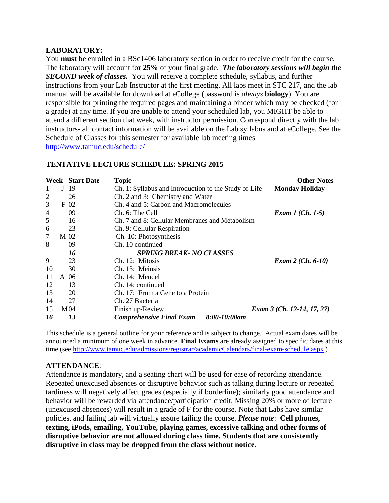# **LABORATORY:**

You **must** be enrolled in a BSc1406 laboratory section in order to receive credit for the course. The laboratory will account for **25%** of your final grade. *The laboratory sessions will begin the SECOND week of classes.* You will receive a complete schedule, syllabus, and further instructions from your Lab Instructor at the first meeting. All labs meet in STC 217, and the lab manual will be available for download at eCollege (password is *always* **biology**). You are responsible for printing the required pages and maintaining a binder which may be checked (for a grade) at any time. If you are unable to attend your scheduled lab, you MIGHT be able to attend a different section that week, with instructor permission. Correspond directly with the lab instructors- all contact information will be available on the Lab syllabus and at eCollege. See the Schedule of Classes for this semester for available lab meeting times <http://www.tamuc.edu/schedule/>

|                                       |      | <b>Week</b> Start Date | <b>Topic</b>                                          | <b>Other Notes</b>         |  |  |  |  |
|---------------------------------------|------|------------------------|-------------------------------------------------------|----------------------------|--|--|--|--|
|                                       | J    | -19                    | Ch. 1: Syllabus and Introduction to the Study of Life | <b>Monday Holiday</b>      |  |  |  |  |
| 2                                     |      | 26                     | Ch. 2 and 3: Chemistry and Water                      |                            |  |  |  |  |
| 3                                     |      | F 02                   | Ch. 4 and 5: Carbon and Macromolecules                |                            |  |  |  |  |
| 4                                     |      | 09                     | Ch. 6: The Cell<br><i>Exam 1 (Ch. 1-5)</i>            |                            |  |  |  |  |
| 5                                     |      | 16                     | Ch. 7 and 8: Cellular Membranes and Metabolism        |                            |  |  |  |  |
| 6                                     |      | 23                     | Ch. 9: Cellular Respiration                           |                            |  |  |  |  |
| 7                                     | M 02 |                        | Ch. 10: Photosynthesis                                |                            |  |  |  |  |
| 8                                     |      | 09                     | Ch. 10 continued                                      |                            |  |  |  |  |
| 16<br><b>SPRING BREAK- NO CLASSES</b> |      |                        |                                                       |                            |  |  |  |  |
| 9                                     |      | 23                     | Ch. 12: Mitosis                                       | <i>Exam 2 (Ch. 6-10)</i>   |  |  |  |  |
| 10                                    |      | 30                     | Ch. 13: Meiosis                                       |                            |  |  |  |  |
| 11                                    | A 06 |                        | Ch. 14: Mendel                                        |                            |  |  |  |  |
| 12                                    |      | 13                     | Ch. 14: continued                                     |                            |  |  |  |  |
| 13                                    |      | 20                     | Ch. 17: From a Gene to a Protein                      |                            |  |  |  |  |
| 14                                    |      | 27                     | Ch. 27 Bacteria                                       |                            |  |  |  |  |
| 15                                    |      | M <sub>04</sub>        | Finish up/Review                                      | Exam 3 (Ch. 12-14, 17, 27) |  |  |  |  |
| 16                                    |      | 13                     | $8:00-10:00$ am<br><b>Comprehensive Final Exam</b>    |                            |  |  |  |  |

# **TENTATIVE LECTURE SCHEDULE: SPRING 2015**

This schedule is a general outline for your reference and is subject to change. Actual exam dates will be announced a minimum of one week in advance. **Final Exams** are already assigned to specific dates at this time (see <http://www.tamuc.edu/admissions/registrar/academicCalendars/final-exam-schedule.aspx> )

# **ATTENDANCE**:

Attendance is mandatory, and a seating chart will be used for ease of recording attendance. Repeated unexcused absences or disruptive behavior such as talking during lecture or repeated tardiness will negatively affect grades (especially if borderline); similarly good attendance and behavior will be rewarded via attendance/participation credit. Missing 20% or more of lecture (unexcused absences) will result in a grade of F for the course. Note that Labs have similar policies, and failing lab will virtually assure failing the course. *Please note*: **Cell phones, texting, iPods, emailing, YouTube, playing games, excessive talking and other forms of disruptive behavior are not allowed during class time. Students that are consistently disruptive in class may be dropped from the class without notice.**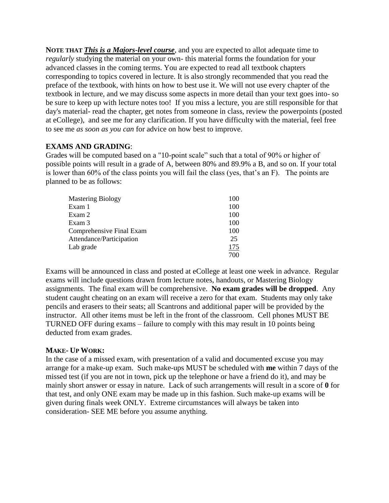**NOTE THAT** *This is a Majors-level course*, and you are expected to allot adequate time to *regularly* studying the material on your own- this material forms the foundation for your advanced classes in the coming terms. You are expected to read all textbook chapters corresponding to topics covered in lecture. It is also strongly recommended that you read the preface of the textbook, with hints on how to best use it. We will not use every chapter of the textbook in lecture, and we may discuss some aspects in more detail than your text goes into- so be sure to keep up with lecture notes too! If you miss a lecture, you are still responsible for that day's material- read the chapter, get notes from someone in class, review the powerpoints (posted at eCollege), and see me for any clarification. If you have difficulty with the material, feel free to see me *as soon as you can* for advice on how best to improve.

# **EXAMS AND GRADING**:

Grades will be computed based on a "10-point scale" such that a total of 90% or higher of possible points will result in a grade of A, between 80% and 89.9% a B, and so on. If your total is lower than 60% of the class points you will fail the class (yes, that's an F). The points are planned to be as follows:

| <b>Mastering Biology</b> | 100 |
|--------------------------|-----|
| Exam 1                   | 100 |
| Exam 2                   | 100 |
| Exam 3                   | 100 |
| Comprehensive Final Exam | 100 |
| Attendance/Participation | 25  |
| Lab grade                | 175 |
|                          | 700 |

Exams will be announced in class and posted at eCollege at least one week in advance. Regular exams will include questions drawn from lecture notes, handouts, or Mastering Biology assignments. The final exam will be comprehensive. **No exam grades will be dropped**. Any student caught cheating on an exam will receive a zero for that exam. Students may only take pencils and erasers to their seats; all Scantrons and additional paper will be provided by the instructor. All other items must be left in the front of the classroom. Cell phones MUST BE TURNED OFF during exams – failure to comply with this may result in 10 points being deducted from exam grades.

# **MAKE- UP WORK:**

In the case of a missed exam, with presentation of a valid and documented excuse you may arrange for a make-up exam. Such make-ups MUST be scheduled with **me** within 7 days of the missed test (if you are not in town, pick up the telephone or have a friend do it), and may be mainly short answer or essay in nature. Lack of such arrangements will result in a score of **0** for that test, and only ONE exam may be made up in this fashion. Such make-up exams will be given during finals week ONLY. Extreme circumstances will always be taken into consideration- SEE ME before you assume anything.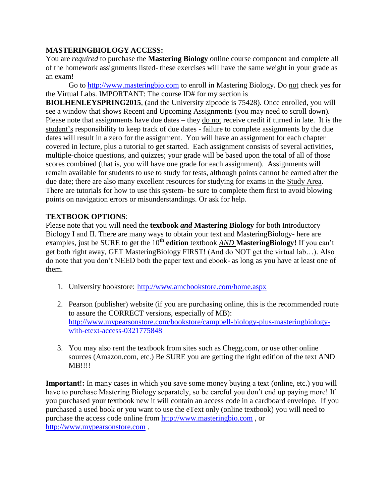### **MASTERINGBIOLOGY ACCESS:**

You are *required* to purchase the **Mastering Biology** online course component and complete all of the homework assignments listed- these exercises will have the same weight in your grade as an exam!

Go to [http://www.masteringbio.com](http://www.masteringbio.com/) to enroll in Mastering Biology. Do not check yes for the Virtual Labs. IMPORTANT: The course ID# for my section is

**BIOLHENLEYSPRING2015**, (and the University zipcode is 75428). Once enrolled, you will see a window that shows Recent and Upcoming Assignments (you may need to scroll down). Please note that assignments have due dates – they do not receive credit if turned in late. It is the student's responsibility to keep track of due dates - failure to complete assignments by the due dates will result in a zero for the assignment. You will have an assignment for each chapter covered in lecture, plus a tutorial to get started. Each assignment consists of several activities, multiple-choice questions, and quizzes; your grade will be based upon the total of all of those scores combined (that is, you will have one grade for each assignment). Assignments will remain available for students to use to study for tests, although points cannot be earned after the due date; there are also many excellent resources for studying for exams in the Study Area. There are tutorials for how to use this system- be sure to complete them first to avoid blowing points on navigation errors or misunderstandings. Or ask for help.

# **TEXTBOOK OPTIONS**:

Please note that you will need the **textbook** *and* **Mastering Biology** for both Introductory Biology I and II. There are many ways to obtain your text and MasteringBiology- here are examples, just be SURE to get the 10<sup>th</sup> edition textbook <u>AND</u> MasteringBiology! If you can't get both right away, GET MasteringBiology FIRST! (And do NOT get the virtual lab…). Also do note that you don't NEED both the paper text and ebook- as long as you have at least one of them.

- 1. University bookstore:<http://www.amcbookstore.com/home.aspx>
- 2. Pearson (publisher) website (if you are purchasing online, this is the recommended route to assure the CORRECT versions, especially of MB): [http://www.mypearsonstore.com/bookstore/campbell-biology-plus-masteringbiology](http://www.mypearsonstore.com/bookstore/campbell-biology-plus-masteringbiology-with-etext-access-0321775848)[with-etext-access-0321775848](http://www.mypearsonstore.com/bookstore/campbell-biology-plus-masteringbiology-with-etext-access-0321775848)
- 3. You may also rent the textbook from sites such as Chegg.com, or use other online sources (Amazon.com, etc.) Be SURE you are getting the right edition of the text AND MB!!!!

**Important!:** In many cases in which you save some money buying a text (online, etc.) you will have to purchase Mastering Biology separately, so be careful you don't end up paying more! If you purchased your textbook new it will contain an access code in a cardboard envelope. If you purchased a used book or you want to use the eText only (online textbook) you will need to purchase the access code online from [http://www.masteringbio.com](http://www.masteringbio.com/) , or [http://www.mypearsonstore.com](http://www.mypearsonstore.com/) .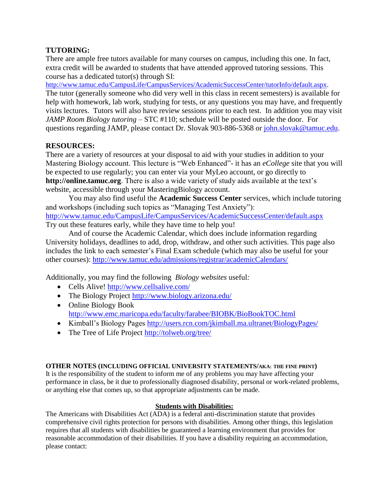# **TUTORING:**

There are ample free tutors available for many courses on campus, including this one. In fact, extra credit will be awarded to students that have attended approved tutoring sessions. This course has a dedicated tutor(s) through SI:

[http://www.tamuc.edu/CampusLife/CampusServices/AcademicSuccessCenter/tutorInfo/default.aspx.](http://www.tamuc.edu/CampusLife/CampusServices/AcademicSuccessCenter/tutorInfo/default.aspx) The tutor (generally someone who did very well in this class in recent semesters) is available for help with homework, lab work, studying for tests, or any questions you may have, and frequently visits lectures. Tutors will also have review sessions prior to each test. In addition you may visit *JAMP Room Biology tutoring* – STC #110; schedule will be posted outside the door. For questions regarding JAMP, please contact Dr. Slovak 903-886-5368 or [john.slovak@tamuc.edu.](mailto:john.slovak@tamuc.edu)

# **RESOURCES:**

There are a variety of resources at your disposal to aid with your studies in addition to your Mastering Biology account. This lecture is "Web Enhanced"- it has an *eCollege* site that you will be expected to use regularly; you can enter via your MyLeo account, or go directly to **[http://online.tamuc.org](http://online.tamuc.org/)**. There is also a wide variety of study aids available at the text's website, accessible through your MasteringBiology account.

You may also find useful the **Academic Success Center** services, which include tutoring and workshops (including such topics as "Managing Test Anxiety"): <http://www.tamuc.edu/CampusLife/CampusServices/AcademicSuccessCenter/default.aspx> Try out these features early, while they have time to help you!

And of course the Academic Calendar, which does include information regarding University holidays, deadlines to add, drop, withdraw, and other such activities. This page also includes the link to each semester's Final Exam schedule (which may also be useful for your other courses):<http://www.tamuc.edu/admissions/registrar/academicCalendars/>

Additionally, you may find the following *Biology websites* useful*:* 

- Cells Alive!<http://www.cellsalive.com/>
- The Biology Project<http://www.biology.arizona.edu/>
- Online Biology Book <http://www.emc.maricopa.edu/faculty/farabee/BIOBK/BioBookTOC.html>
- Kimball's Biology Pages<http://users.rcn.com/jkimball.ma.ultranet/BiologyPages/>
- The Tree of Life Project<http://tolweb.org/tree/>

#### **OTHER NOTES (INCLUDING OFFICIAL UNIVERSITY STATEMENTS/AKA: THE FINE PRINT)**

It is the responsibility of the student to inform me of any problems you may have affecting your performance in class, be it due to professionally diagnosed disability, personal or work-related problems, or anything else that comes up, so that appropriate adjustments can be made.

#### **Students with Disabilities:**

The Americans with Disabilities Act (ADA) is a federal anti-discrimination statute that provides comprehensive civil rights protection for persons with disabilities. Among other things, this legislation requires that all students with disabilities be guaranteed a learning environment that provides for reasonable accommodation of their disabilities. If you have a disability requiring an accommodation, please contact: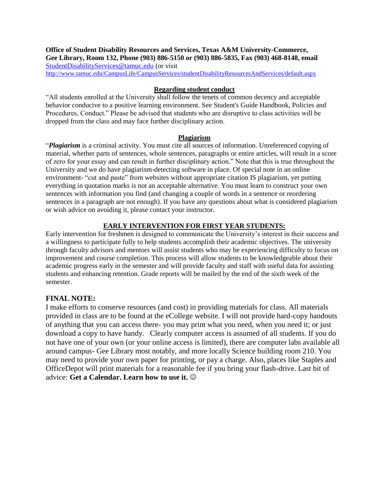**Office of Student Disability Resources and Services, Texas A&M University-Commerce, Gee Library, Room 132, Phone (903) 886-5150 or (903) 886-5835, Fax (903) 468-8148, email**  [StudentDisabilityServices@tamuc.edu](mailto:StudentDisabilityServices@tamuc.edu) (or visit <http://www.tamuc.edu/CampusLife/CampusServices/studentDisabilityResourcesAndServices/default.aspx>

#### **Regarding student conduct**

"All students enrolled at the University shall follow the tenets of common decency and acceptable behavior conducive to a positive learning environment. See Student's Guide Handbook, Policies and Procedures, Conduct." Please be advised that students who are disruptive to class activities will be dropped from the class and may face further disciplinary action.

#### **Plagiarism**

"*Plagiarism* is a criminal activity. You must cite all sources of information. Unreferenced copying of material, whether parts of sentences, whole sentences, paragraphs or entire articles, will result in a score of zero for your essay and can result in further disciplinary action." Note that this is true throughout the University and we do have plagiarism-detecting software in place. Of special note in an online environment- "cut and paste" from websites without appropriate citation IS plagiarism, yet putting everything in quotation marks is not an acceptable alternative. You must learn to construct your own sentences with information you find (and changing a couple of words in a sentence or reordering sentences in a paragraph are not enough). If you have any questions about what is considered plagiarism or wish advice on avoiding it, please contact your instructor.

#### **EARLY INTERVENTION FOR FIRST YEAR STUDENTS:**

Early intervention for freshmen is designed to communicate the University's interest in their success and a willingness to participate fully to help students accomplish their academic objectives. The university through faculty advisors and mentors will assist students who may be experiencing difficulty to focus on improvement and course completion. This process will allow students to be knowledgeable about their academic progress early in the semester and will provide faculty and staff with useful data for assisting students and enhancing retention. Grade reports will be mailed by the end of the sixth week of the semester.

#### **FINAL NOTE:**

I make efforts to conserve resources (and cost) in providing materials for class. All materials provided in class are to be found at the eCollege website. I will not provide hard-copy handouts of anything that you can access there- you may print what you need, when you need it; or just download a copy to have handy. Clearly computer access is assumed of all students. If you do not have one of your own (or your online access is limited), there are computer labs available all around campus- Gee Library most notably, and more locally Science building room 210. You may need to provide your own paper for printing, or pay a charge. Also, places like Staples and OfficeDepot will print materials for a reasonable fee if you bring your flash-drive. Last bit of advice: **Get a Calendar. Learn how to use it.**